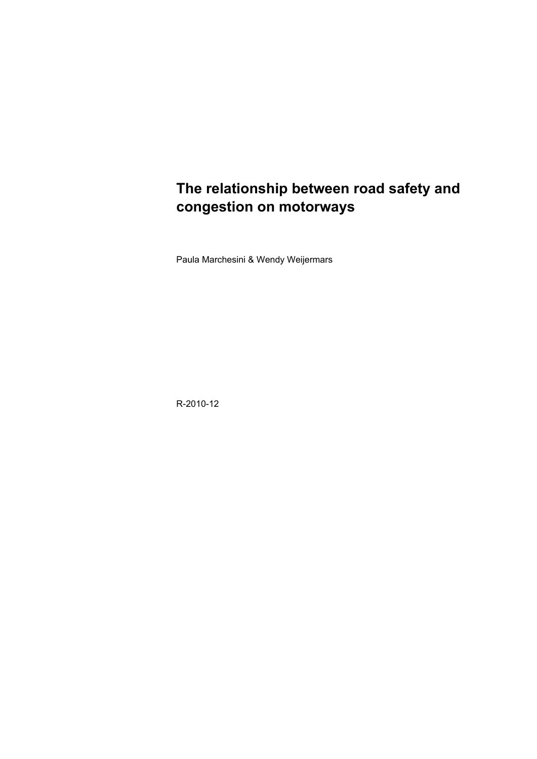# **The relationship between road safety and congestion on motorways**

Paula Marchesini & Wendy Weijermars

R-2010-12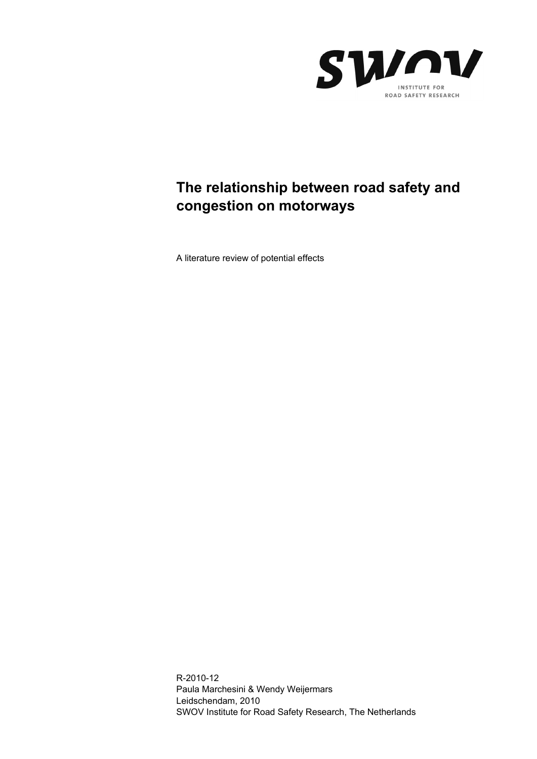

# **The relationship between road safety and congestion on motorways**

A literature review of potential effects

R-2010-12 Paula Marchesini & Wendy Weijermars Leidschendam, 2010 SWOV Institute for Road Safety Research, The Netherlands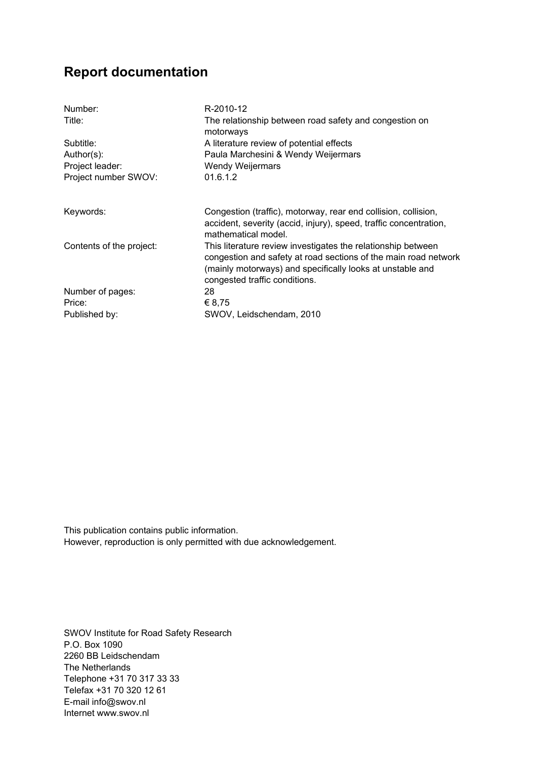## **Report documentation**

| R-2010-12                                                                                                                                                                                                                     |
|-------------------------------------------------------------------------------------------------------------------------------------------------------------------------------------------------------------------------------|
| The relationship between road safety and congestion on<br>motorways                                                                                                                                                           |
| A literature review of potential effects                                                                                                                                                                                      |
| Paula Marchesini & Wendy Weijermars                                                                                                                                                                                           |
| <b>Wendy Weijermars</b>                                                                                                                                                                                                       |
| 01.6.1.2                                                                                                                                                                                                                      |
|                                                                                                                                                                                                                               |
| Congestion (traffic), motorway, rear end collision, collision,<br>accident, severity (accid, injury), speed, traffic concentration,<br>mathematical model.                                                                    |
| This literature review investigates the relationship between<br>congestion and safety at road sections of the main road network<br>(mainly motorways) and specifically looks at unstable and<br>congested traffic conditions. |
| 28                                                                                                                                                                                                                            |
| € 8.75                                                                                                                                                                                                                        |
| SWOV, Leidschendam, 2010                                                                                                                                                                                                      |
|                                                                                                                                                                                                                               |

This publication contains public information. However, reproduction is only permitted with due acknowledgement.

SWOV Institute for Road Safety Research P.O. Box 1090 2260 BB Leidschendam The Netherlands Telephone +31 70 317 33 33 Telefax +31 70 320 12 61 E-mail info@swov.nl Internet www.swov.nl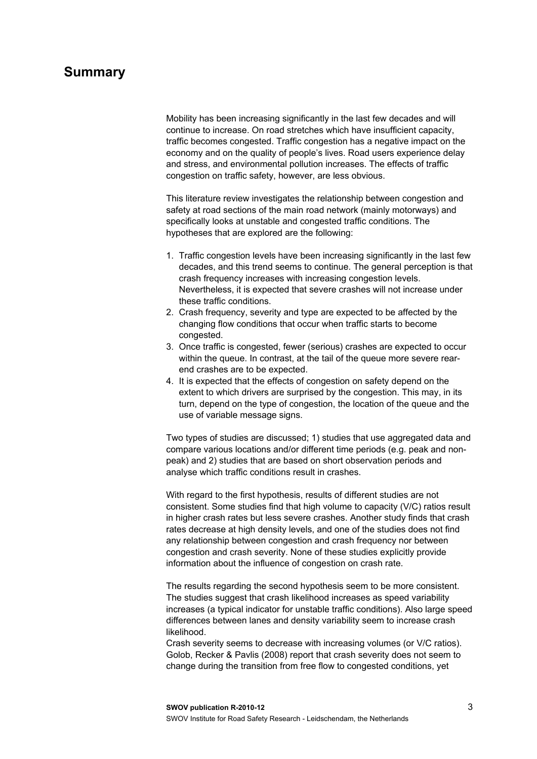### **Summary**

Mobility has been increasing significantly in the last few decades and will continue to increase. On road stretches which have insufficient capacity, traffic becomes congested. Traffic congestion has a negative impact on the economy and on the quality of people's lives. Road users experience delay and stress, and environmental pollution increases. The effects of traffic congestion on traffic safety, however, are less obvious.

This literature review investigates the relationship between congestion and safety at road sections of the main road network (mainly motorways) and specifically looks at unstable and congested traffic conditions. The hypotheses that are explored are the following:

- 1. Traffic congestion levels have been increasing significantly in the last few decades, and this trend seems to continue. The general perception is that crash frequency increases with increasing congestion levels. Nevertheless, it is expected that severe crashes will not increase under these traffic conditions.
- 2. Crash frequency, severity and type are expected to be affected by the changing flow conditions that occur when traffic starts to become congested.
- 3. Once traffic is congested, fewer (serious) crashes are expected to occur within the queue. In contrast, at the tail of the queue more severe rearend crashes are to be expected.
- 4. It is expected that the effects of congestion on safety depend on the extent to which drivers are surprised by the congestion. This may, in its turn, depend on the type of congestion, the location of the queue and the use of variable message signs.

Two types of studies are discussed; 1) studies that use aggregated data and compare various locations and/or different time periods (e.g. peak and nonpeak) and 2) studies that are based on short observation periods and analyse which traffic conditions result in crashes.

With regard to the first hypothesis, results of different studies are not consistent. Some studies find that high volume to capacity (V/C) ratios result in higher crash rates but less severe crashes. Another study finds that crash rates decrease at high density levels, and one of the studies does not find any relationship between congestion and crash frequency nor between congestion and crash severity. None of these studies explicitly provide information about the influence of congestion on crash rate.

The results regarding the second hypothesis seem to be more consistent. The studies suggest that crash likelihood increases as speed variability increases (a typical indicator for unstable traffic conditions). Also large speed differences between lanes and density variability seem to increase crash likelihood.

Crash severity seems to decrease with increasing volumes (or V/C ratios). Golob, Recker & Pavlis (2008) report that crash severity does not seem to change during the transition from free flow to congested conditions, yet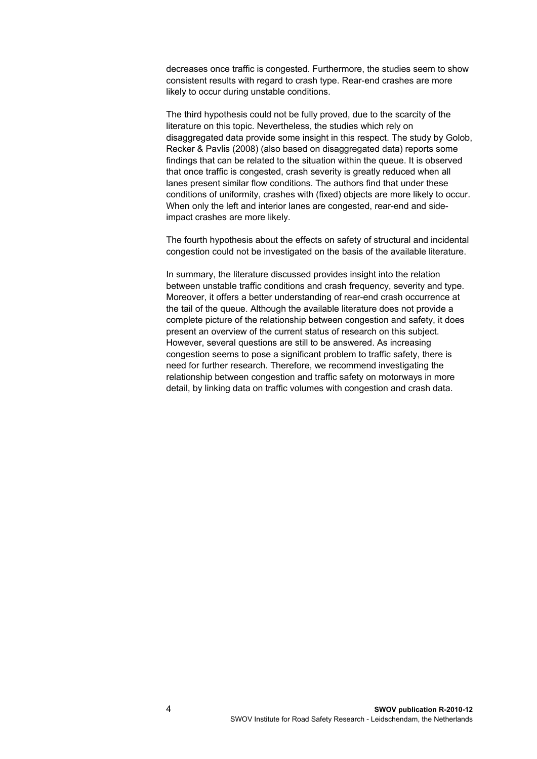decreases once traffic is congested. Furthermore, the studies seem to show consistent results with regard to crash type. Rear-end crashes are more likely to occur during unstable conditions.

The third hypothesis could not be fully proved, due to the scarcity of the literature on this topic. Nevertheless, the studies which rely on disaggregated data provide some insight in this respect. The study by Golob, Recker & Pavlis (2008) (also based on disaggregated data) reports some findings that can be related to the situation within the queue. It is observed that once traffic is congested, crash severity is greatly reduced when all lanes present similar flow conditions. The authors find that under these conditions of uniformity, crashes with (fixed) objects are more likely to occur. When only the left and interior lanes are congested, rear-end and sideimpact crashes are more likely.

The fourth hypothesis about the effects on safety of structural and incidental congestion could not be investigated on the basis of the available literature.

In summary, the literature discussed provides insight into the relation between unstable traffic conditions and crash frequency, severity and type. Moreover, it offers a better understanding of rear-end crash occurrence at the tail of the queue. Although the available literature does not provide a complete picture of the relationship between congestion and safety, it does present an overview of the current status of research on this subject. However, several questions are still to be answered. As increasing congestion seems to pose a significant problem to traffic safety, there is need for further research. Therefore, we recommend investigating the relationship between congestion and traffic safety on motorways in more detail, by linking data on traffic volumes with congestion and crash data.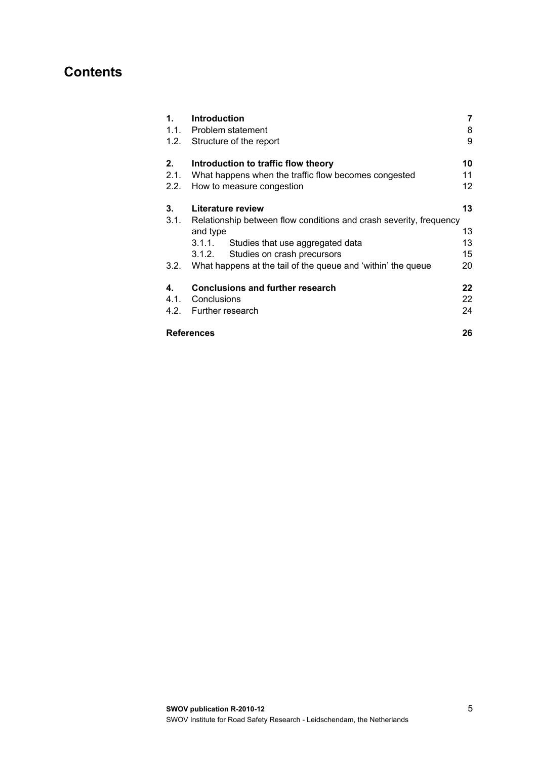## **Contents**

| 1.   | <b>Introduction</b>                                                     | 7  |
|------|-------------------------------------------------------------------------|----|
|      | 1.1. Problem statement                                                  | 8  |
|      | 1.2. Structure of the report                                            | 9  |
| 2.   | Introduction to traffic flow theory                                     | 10 |
| 2.1. | What happens when the traffic flow becomes congested                    | 11 |
| 2.2. | How to measure congestion                                               | 12 |
| 3.   | Literature review                                                       | 13 |
|      | 3.1. Relationship between flow conditions and crash severity, frequency |    |
|      | and type                                                                | 13 |
|      | Studies that use aggregated data<br>3.1.1.                              | 13 |
|      | Studies on crash precursors<br>3.1.2.                                   | 15 |
| 3.2. | What happens at the tail of the queue and 'within' the queue            | 20 |
| 4.   | <b>Conclusions and further research</b>                                 | 22 |
| 4.1. | Conclusions                                                             | 22 |
|      | 4.2. Further research                                                   | 24 |
|      | <b>References</b>                                                       | 26 |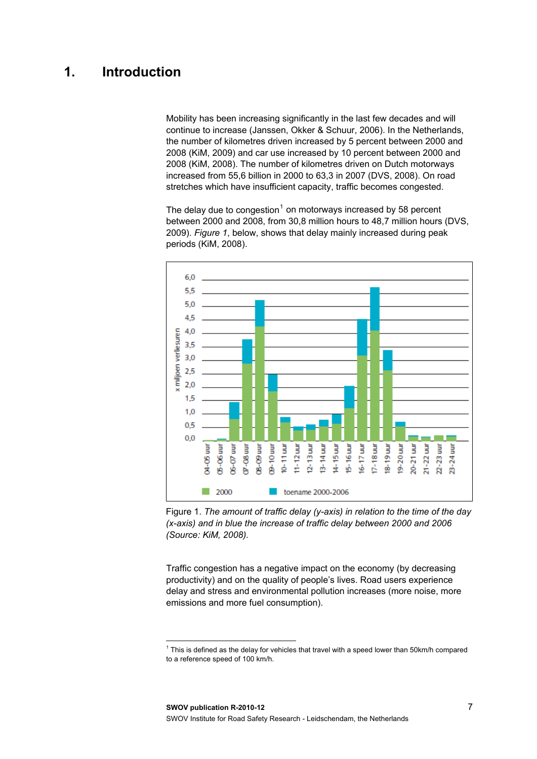## <span id="page-8-0"></span>**1. Introduction**

Mobility has been increasing significantly in the last few decades and will continue to increase (Janssen, Okker & Schuur, 2006). In the Netherlands, the number of kilometres driven increased by 5 percent between 2000 and 2008 (KiM, 2009) and car use increased by 10 percent between 2000 and 2008 (KiM, 2008). The number of kilometres driven on Dutch motorways increased from 55,6 billion in 2000 to 63,3 in 2007 (DVS, 2008). On road stretches which have insufficient capacity, traffic becomes congested.

The delay due to congestion<sup>[1](#page-8-1)</sup> on motorways increased by 58 percent between 2000 and 2008, from 30,8 million hours to 48,7 million hours (DVS, 2009). *Figure 1*, below, shows that delay mainly increased during peak periods (KiM, 2008).



Figure 1. *The amount of traffic delay (y-axis) in relation to the time of the day (x-axis) and in blue the increase of traffic delay between 2000 and 2006 (Source: KiM, 2008).*

Traffic congestion has a negative impact on the economy (by decreasing productivity) and on the quality of people's lives. Road users experience delay and stress and environmental pollution increases (more noise, more emissions and more fuel consumption).

l

<span id="page-8-1"></span> $1$  This is defined as the delay for vehicles that travel with a speed lower than 50km/h compared to a reference speed of 100 km/h.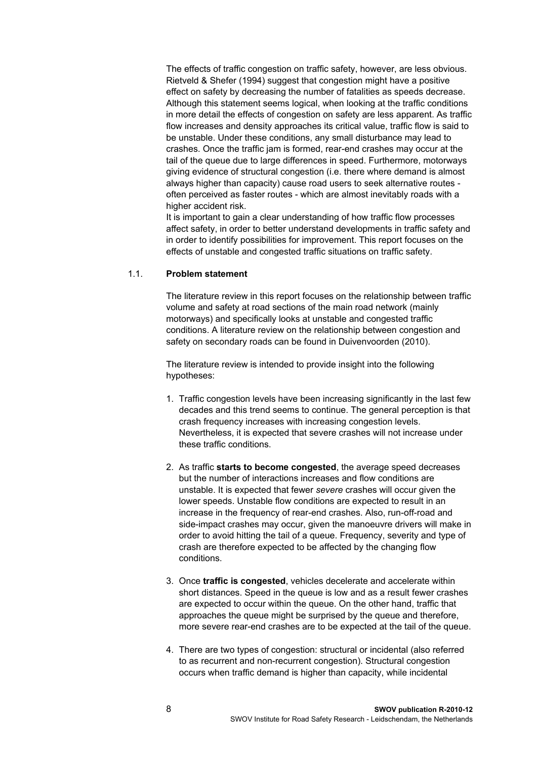The effects of traffic congestion on traffic safety, however, are less obvious. Rietveld & Shefer (1994) suggest that congestion might have a positive effect on safety by decreasing the number of fatalities as speeds decrease. Although this statement seems logical, when looking at the traffic conditions in more detail the effects of congestion on safety are less apparent. As traffic flow increases and density approaches its critical value, traffic flow is said to be unstable. Under these conditions, any small disturbance may lead to crashes. Once the traffic jam is formed, rear-end crashes may occur at the tail of the queue due to large differences in speed. Furthermore, motorways giving evidence of structural congestion (i.e. there where demand is almost always higher than capacity) cause road users to seek alternative routes often perceived as faster routes - which are almost inevitably roads with a higher accident risk.

It is important to gain a clear understanding of how traffic flow processes affect safety, in order to better understand developments in traffic safety and in order to identify possibilities for improvement. This report focuses on the effects of unstable and congested traffic situations on traffic safety.

#### <span id="page-9-0"></span>1.1. **Problem statement**

The literature review in this report focuses on the relationship between traffic volume and safety at road sections of the main road network (mainly motorways) and specifically looks at unstable and congested traffic conditions. A literature review on the relationship between congestion and safety on secondary roads can be found in Duivenvoorden (2010).

The literature review is intended to provide insight into the following hypotheses:

- 1. Traffic congestion levels have been increasing significantly in the last few decades and this trend seems to continue. The general perception is that crash frequency increases with increasing congestion levels. Nevertheless, it is expected that severe crashes will not increase under these traffic conditions.
- 2. As traffic **starts to become congested**, the average speed decreases but the number of interactions increases and flow conditions are unstable. It is expected that fewer *severe* crashes will occur given the lower speeds. Unstable flow conditions are expected to result in an increase in the frequency of rear-end crashes. Also, run-off-road and side-impact crashes may occur, given the manoeuvre drivers will make in order to avoid hitting the tail of a queue. Frequency, severity and type of crash are therefore expected to be affected by the changing flow conditions.
- 3. Once **traffic is congested**, vehicles decelerate and accelerate within short distances. Speed in the queue is low and as a result fewer crashes are expected to occur within the queue. On the other hand, traffic that approaches the queue might be surprised by the queue and therefore, more severe rear-end crashes are to be expected at the tail of the queue.
- 4. There are two types of congestion: structural or incidental (also referred to as recurrent and non-recurrent congestion). Structural congestion occurs when traffic demand is higher than capacity, while incidental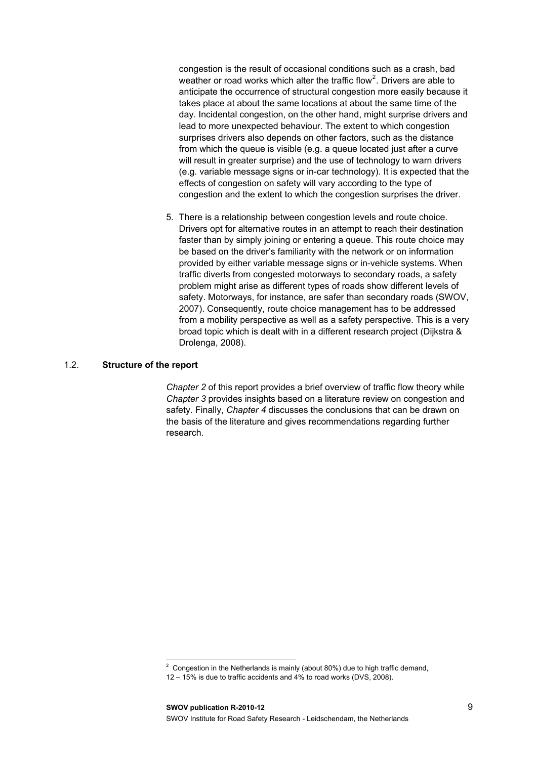congestion is the result of occasional conditions such as a crash, bad weather or road works which alter the traffic flow<sup>2</sup>. Drivers are able to anticipate the occurrence of structural congestion more easily because it takes place at about the same locations at about the same time of the day. Incidental congestion, on the other hand, might surprise drivers and lead to more unexpected behaviour. The extent to which congestion surprises drivers also depends on other factors, such as the distance from which the queue is visible (e.g. a queue located just after a curve will result in greater surprise) and the use of technology to warn drivers (e.g. variable message signs or in-car technology). It is expected that the effects of congestion on safety will vary according to the type of congestion and the extent to which the congestion surprises the driver.

5. There is a relationship between congestion levels and route choice. Drivers opt for alternative routes in an attempt to reach their destination faster than by simply joining or entering a queue. This route choice may be based on the driver's familiarity with the network or on information provided by either variable message signs or in-vehicle systems. When traffic diverts from congested motorways to secondary roads, a safety problem might arise as different types of roads show different levels of safety. Motorways, for instance, are safer than secondary roads (SWOV, 2007). Consequently, route choice management has to be addressed from a mobility perspective as well as a safety perspective. This is a very broad topic which is dealt with in a different research project (Dijkstra & Drolenga, 2008).

#### <span id="page-10-0"></span>1.2. **Structure of the report**

l

*Chapter 2* of this report provides a brief overview of traffic flow theory while *Chapter 3* provides insights based on a literature review on congestion and safety. Finally, *Chapter 4* discusses the conclusions that can be drawn on the basis of the literature and gives recommendations regarding further research.

<sup>&</sup>lt;sup>2</sup> Congestion in the Netherlands is mainly (about 80%) due to high traffic demand,

<sup>12 – 15%</sup> is due to traffic accidents and 4% to road works (DVS, 2008).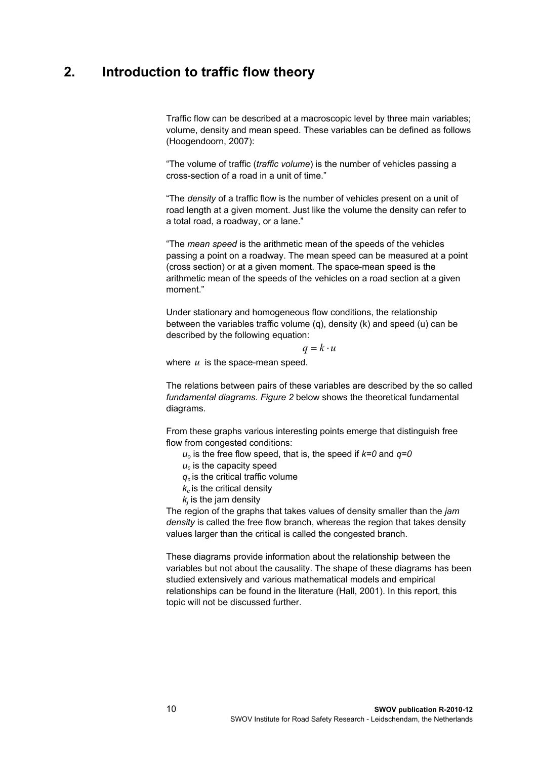## <span id="page-11-0"></span>**2. Introduction to traffic flow theory**

Traffic flow can be described at a macroscopic level by three main variables; volume, density and mean speed. These variables can be defined as follows (Hoogendoorn, 2007):

"The volume of traffic (*traffic volume*) is the number of vehicles passing a cross-section of a road in a unit of time."

"The *density* of a traffic flow is the number of vehicles present on a unit of road length at a given moment. Just like the volume the density can refer to a total road, a roadway, or a lane."

"The *mean speed* is the arithmetic mean of the speeds of the vehicles passing a point on a roadway. The mean speed can be measured at a point (cross section) or at a given moment. The space-mean speed is the arithmetic mean of the speeds of the vehicles on a road section at a given moment."

Under stationary and homogeneous flow conditions, the relationship between the variables traffic volume (q), density (k) and speed (u) can be described by the following equation:

 $q = k \cdot u$ 

where *u* is the space-mean speed.

The relations between pairs of these variables are described by the so called *fundamental diagrams*. *[Figure 2](#page-12-1)* below shows the theoretical fundamental diagrams.

From these graphs various interesting points emerge that distinguish free flow from congested conditions:

*uo* is the free flow speed, that is, the speed if *k=0* and *q=0* 

*uc* is the capacity speed

*qc* is the critical traffic volume

 $k<sub>c</sub>$  is the critical density

 $k_i$  is the jam density

The region of the graphs that takes values of density smaller than the *jam density* is called the free flow branch, whereas the region that takes density values larger than the critical is called the congested branch.

These diagrams provide information about the relationship between the variables but not about the causality. The shape of these diagrams has been studied extensively and various mathematical models and empirical relationships can be found in the literature (Hall, 2001). In this report, this topic will not be discussed further.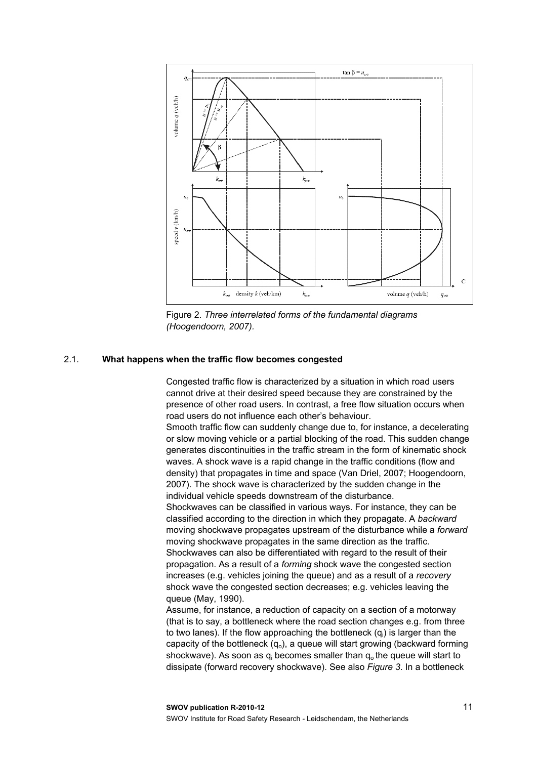

Figure 2. *Three interrelated forms of the fundamental diagrams (Hoogendoorn, 2007).*

#### <span id="page-12-1"></span><span id="page-12-0"></span>2.1. **What happens when the traffic flow becomes congested**

Congested traffic flow is characterized by a situation in which road users cannot drive at their desired speed because they are constrained by the presence of other road users. In contrast, a free flow situation occurs when road users do not influence each other's behaviour.

Smooth traffic flow can suddenly change due to, for instance, a decelerating or slow moving vehicle or a partial blocking of the road. This sudden change generates discontinuities in the traffic stream in the form of kinematic shock waves. A shock wave is a rapid change in the traffic conditions (flow and density) that propagates in time and space (Van Driel, 2007; Hoogendoorn, 2007). The shock wave is characterized by the sudden change in the individual vehicle speeds downstream of the disturbance.

Shockwaves can be classified in various ways. For instance, they can be classified according to the direction in which they propagate. A *backward* moving shockwave propagates upstream of the disturbance while a *forward* moving shockwave propagates in the same direction as the traffic. Shockwaves can also be differentiated with regard to the result of their propagation. As a result of a *forming* shock wave the congested section increases (e.g. vehicles joining the queue) and as a result of a *recovery* shock wave the congested section decreases; e.g. vehicles leaving the queue (May, 1990).

Assume, for instance, a reduction of capacity on a section of a motorway (that is to say, a bottleneck where the road section changes e.g. from three to two lanes). If the flow approaching the bottleneck (q<sub>i</sub>) is larger than the capacity of the bottleneck  $(q_0)$ , a queue will start growing (backward forming shockwave). As soon as  $q_i$  becomes smaller than  $q_o$  the queue will start to dissipate (forward recovery shockwave). See also *Figure 3*. In a bottleneck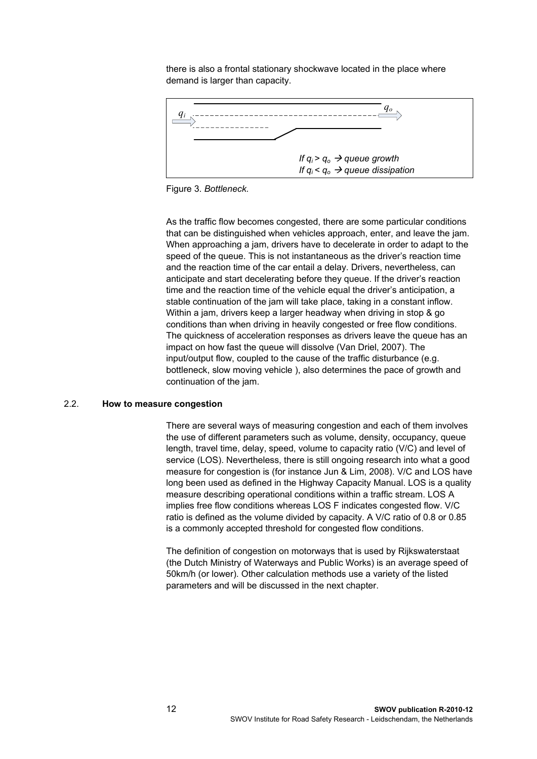there is also a frontal stationary shockwave located in the place where demand is larger than capacity.



Figure 3. *Bottleneck.*

As the traffic flow becomes congested, there are some particular conditions that can be distinguished when vehicles approach, enter, and leave the jam. When approaching a jam, drivers have to decelerate in order to adapt to the speed of the queue. This is not instantaneous as the driver's reaction time and the reaction time of the car entail a delay. Drivers, nevertheless, can anticipate and start decelerating before they queue. If the driver's reaction time and the reaction time of the vehicle equal the driver's anticipation, a stable continuation of the jam will take place, taking in a constant inflow. Within a jam, drivers keep a larger headway when driving in stop & go conditions than when driving in heavily congested or free flow conditions. The quickness of acceleration responses as drivers leave the queue has an impact on how fast the queue will dissolve (Van Driel, 2007). The input/output flow, coupled to the cause of the traffic disturbance (e.g. bottleneck, slow moving vehicle ), also determines the pace of growth and continuation of the jam.

#### <span id="page-13-0"></span>2.2. **How to measure congestion**

There are several ways of measuring congestion and each of them involves the use of different parameters such as volume, density, occupancy, queue length, travel time, delay, speed, volume to capacity ratio (V/C) and level of service (LOS). Nevertheless, there is still ongoing research into what a good measure for congestion is (for instance Jun & Lim, 2008). V/C and LOS have long been used as defined in the Highway Capacity Manual. LOS is a quality measure describing operational conditions within a traffic stream. LOS A implies free flow conditions whereas LOS F indicates congested flow. V/C ratio is defined as the volume divided by capacity. A V/C ratio of 0.8 or 0.85 is a commonly accepted threshold for congested flow conditions.

The definition of congestion on motorways that is used by Rijkswaterstaat (the Dutch Ministry of Waterways and Public Works) is an average speed of 50km/h (or lower). Other calculation methods use a variety of the listed parameters and will be discussed in the next chapter.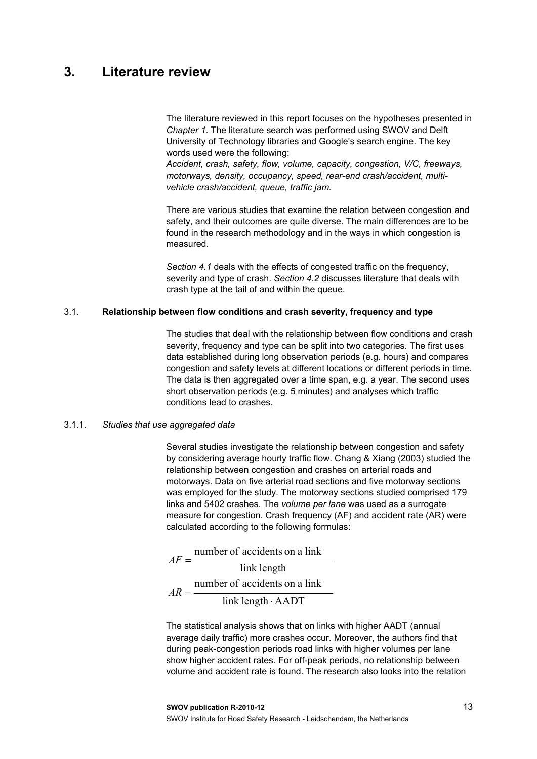## <span id="page-14-0"></span>**3. Literature review**

The literature reviewed in this report focuses on the hypotheses presented in *Chapter 1*. The literature search was performed using SWOV and Delft University of Technology libraries and Google's search engine. The key words used were the following:

*Accident, crash, safety, flow, volume, capacity, congestion, V/C, freeways, motorways, density, occupancy, speed, rear-end crash/accident, multivehicle crash/accident, queue, traffic jam.* 

There are various studies that examine the relation between congestion and safety, and their outcomes are quite diverse. The main differences are to be found in the research methodology and in the ways in which congestion is measured.

*Section 4.1* deals with the effects of congested traffic on the frequency, severity and type of crash. *Section 4.2* discusses literature that deals with crash type at the tail of and within the queue.

#### <span id="page-14-1"></span>3.1. **Relationship between flow conditions and crash severity, frequency and type**

The studies that deal with the relationship between flow conditions and crash severity, frequency and type can be split into two categories. The first uses data established during long observation periods (e.g. hours) and compares congestion and safety levels at different locations or different periods in time. The data is then aggregated over a time span, e.g. a year. The second uses short observation periods (e.g. 5 minutes) and analyses which traffic conditions lead to crashes.

#### <span id="page-14-2"></span>3.1.1. *Studies that use aggregated data*

Several studies investigate the relationship between congestion and safety by considering average hourly traffic flow. Chang & Xiang (2003) studied the relationship between congestion and crashes on arterial roads and motorways. Data on five arterial road sections and five motorway sections was employed for the study. The motorway sections studied comprised 179 links and 5402 crashes. The *volume per lane* was used as a surrogate measure for congestion. Crash frequency (AF) and accident rate (AR) were calculated according to the following formulas:

link length number of accidents on a link  $AF =$  $link length \cdot AADT$ number of accidents on a link  $AR = \frac{\text{Time of 200}}{\text{link length}}$ 

The statistical analysis shows that on links with higher AADT (annual average daily traffic) more crashes occur. Moreover, the authors find that during peak-congestion periods road links with higher volumes per lane show higher accident rates. For off-peak periods, no relationship between volume and accident rate is found. The research also looks into the relation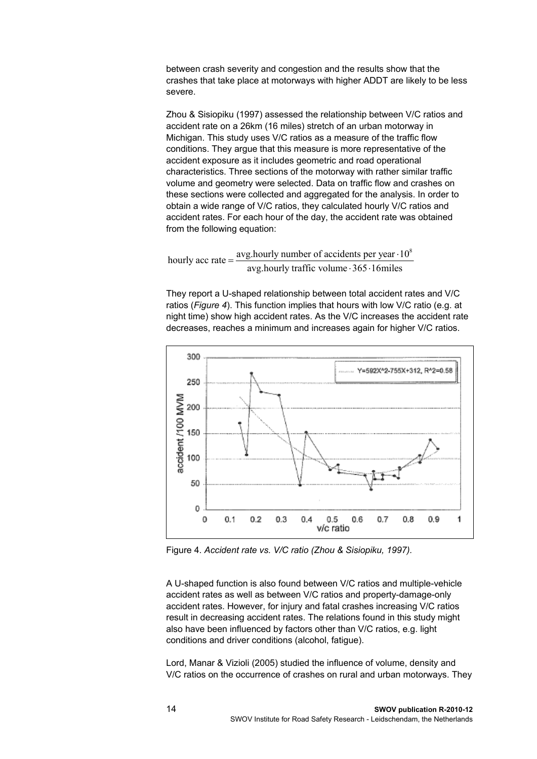between crash severity and congestion and the results show that the crashes that take place at motorways with higher ADDT are likely to be less severe.

Zhou & Sisiopiku (1997) assessed the relationship between V/C ratios and accident rate on a 26km (16 miles) stretch of an urban motorway in Michigan. This study uses V/C ratios as a measure of the traffic flow conditions. They argue that this measure is more representative of the accident exposure as it includes geometric and road operational characteristics. Three sections of the motorway with rather similar traffic volume and geometry were selected. Data on traffic flow and crashes on these sections were collected and aggregated for the analysis. In order to obtain a wide range of V/C ratios, they calculated hourly V/C ratios and accident rates. For each hour of the day, the accident rate was obtained from the following equation:

hourly acc rate =  $\frac{avg \text{.hourly number of accidents per year} \cdot 10^8}{avg \text{.hourly traffic volume} \cdot 365 \cdot 16 \text{ miles}}$ 

They report a U-shaped relationship between total accident rates and V/C ratios (*[Figure 4](#page-15-0)*). This function implies that hours with low V/C ratio (e.g. at night time) show high accident rates. As the V/C increases the accident rate decreases, reaches a minimum and increases again for higher V/C ratios.



<span id="page-15-0"></span>Figure 4. *Accident rate vs. V/C ratio (Zhou & Sisiopiku, 1997).*

A U-shaped function is also found between V/C ratios and multiple-vehicle accident rates as well as between V/C ratios and property-damage-only accident rates. However, for injury and fatal crashes increasing V/C ratios result in decreasing accident rates. The relations found in this study might also have been influenced by factors other than V/C ratios, e.g. light conditions and driver conditions (alcohol, fatigue).

Lord, Manar & Vizioli (2005) studied the influence of volume, density and V/C ratios on the occurrence of crashes on rural and urban motorways. They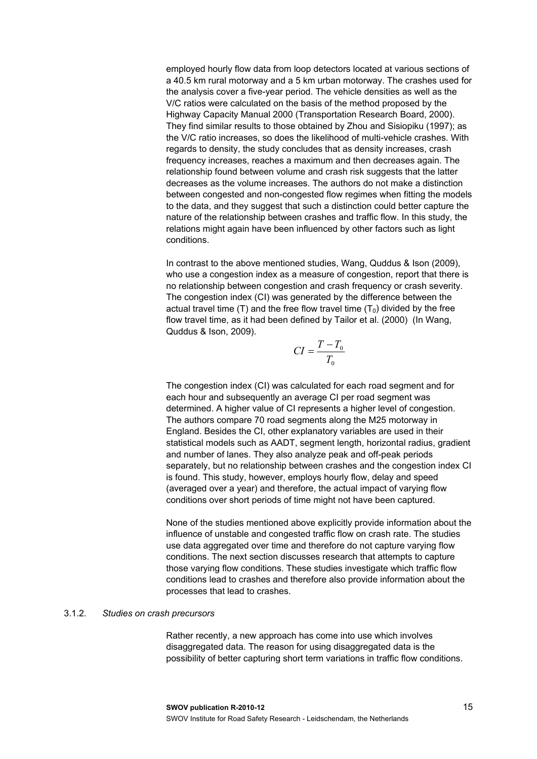employed hourly flow data from loop detectors located at various sections of a 40.5 km rural motorway and a 5 km urban motorway. The crashes used for the analysis cover a five-year period. The vehicle densities as well as the V/C ratios were calculated on the basis of the method proposed by the Highway Capacity Manual 2000 (Transportation Research Board, 2000). They find similar results to those obtained by Zhou and Sisiopiku (1997); as the V/C ratio increases, so does the likelihood of multi-vehicle crashes. With regards to density, the study concludes that as density increases, crash frequency increases, reaches a maximum and then decreases again. The relationship found between volume and crash risk suggests that the latter decreases as the volume increases. The authors do not make a distinction between congested and non-congested flow regimes when fitting the models to the data, and they suggest that such a distinction could better capture the nature of the relationship between crashes and traffic flow. In this study, the relations might again have been influenced by other factors such as light conditions.

In contrast to the above mentioned studies, Wang, Quddus & Ison (2009), who use a congestion index as a measure of congestion, report that there is no relationship between congestion and crash frequency or crash severity. The congestion index (CI) was generated by the difference between the actual travel time (T) and the free flow travel time  $(T_0)$  divided by the free flow travel time, as it had been defined by Tailor et al. (2000) (In Wang, Quddus & Ison, 2009).

$$
CI = \frac{T - T_0}{T_0}
$$

The congestion index (CI) was calculated for each road segment and for each hour and subsequently an average CI per road segment was determined. A higher value of CI represents a higher level of congestion. The authors compare 70 road segments along the M25 motorway in England. Besides the CI, other explanatory variables are used in their statistical models such as AADT, segment length, horizontal radius, gradient and number of lanes. They also analyze peak and off-peak periods separately, but no relationship between crashes and the congestion index CI is found. This study, however, employs hourly flow, delay and speed (averaged over a year) and therefore, the actual impact of varying flow conditions over short periods of time might not have been captured.

None of the studies mentioned above explicitly provide information about the influence of unstable and congested traffic flow on crash rate. The studies use data aggregated over time and therefore do not capture varying flow conditions. The next section discusses research that attempts to capture those varying flow conditions. These studies investigate which traffic flow conditions lead to crashes and therefore also provide information about the processes that lead to crashes.

#### <span id="page-16-0"></span>3.1.2. *Studies on crash precursors*

Rather recently, a new approach has come into use which involves disaggregated data. The reason for using disaggregated data is the possibility of better capturing short term variations in traffic flow conditions.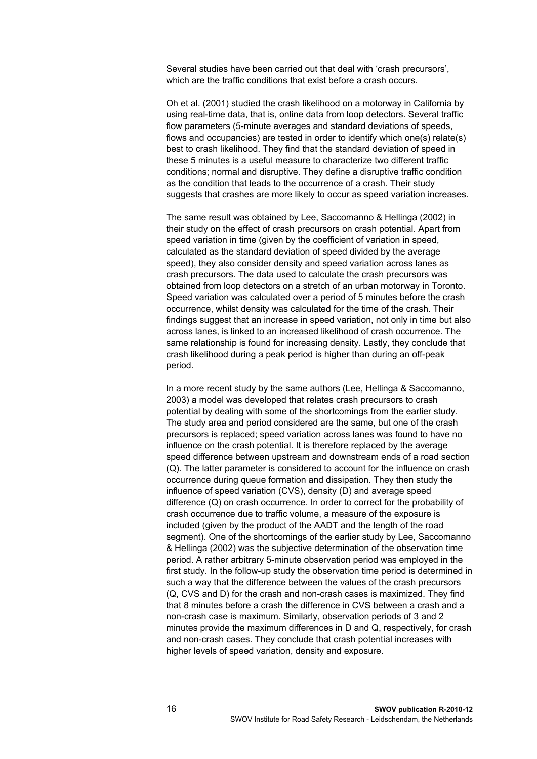Several studies have been carried out that deal with 'crash precursors', which are the traffic conditions that exist before a crash occurs.

Oh et al. (2001) studied the crash likelihood on a motorway in California by using real-time data, that is, online data from loop detectors. Several traffic flow parameters (5-minute averages and standard deviations of speeds, flows and occupancies) are tested in order to identify which one(s) relate(s) best to crash likelihood. They find that the standard deviation of speed in these 5 minutes is a useful measure to characterize two different traffic conditions; normal and disruptive. They define a disruptive traffic condition as the condition that leads to the occurrence of a crash. Their study suggests that crashes are more likely to occur as speed variation increases.

The same result was obtained by Lee, Saccomanno & Hellinga (2002) in their study on the effect of crash precursors on crash potential. Apart from speed variation in time (given by the coefficient of variation in speed, calculated as the standard deviation of speed divided by the average speed), they also consider density and speed variation across lanes as crash precursors. The data used to calculate the crash precursors was obtained from loop detectors on a stretch of an urban motorway in Toronto. Speed variation was calculated over a period of 5 minutes before the crash occurrence, whilst density was calculated for the time of the crash. Their findings suggest that an increase in speed variation, not only in time but also across lanes, is linked to an increased likelihood of crash occurrence. The same relationship is found for increasing density. Lastly, they conclude that crash likelihood during a peak period is higher than during an off-peak period.

In a more recent study by the same authors (Lee, Hellinga & Saccomanno, 2003) a model was developed that relates crash precursors to crash potential by dealing with some of the shortcomings from the earlier study. The study area and period considered are the same, but one of the crash precursors is replaced; speed variation across lanes was found to have no influence on the crash potential. It is therefore replaced by the average speed difference between upstream and downstream ends of a road section (Q). The latter parameter is considered to account for the influence on crash occurrence during queue formation and dissipation. They then study the influence of speed variation (CVS), density (D) and average speed difference (Q) on crash occurrence. In order to correct for the probability of crash occurrence due to traffic volume, a measure of the exposure is included (given by the product of the AADT and the length of the road segment). One of the shortcomings of the earlier study by Lee, Saccomanno & Hellinga (2002) was the subjective determination of the observation time period. A rather arbitrary 5-minute observation period was employed in the first study. In the follow-up study the observation time period is determined in such a way that the difference between the values of the crash precursors (Q, CVS and D) for the crash and non-crash cases is maximized. They find that 8 minutes before a crash the difference in CVS between a crash and a non-crash case is maximum. Similarly, observation periods of 3 and 2 minutes provide the maximum differences in D and Q, respectively, for crash and non-crash cases. They conclude that crash potential increases with higher levels of speed variation, density and exposure.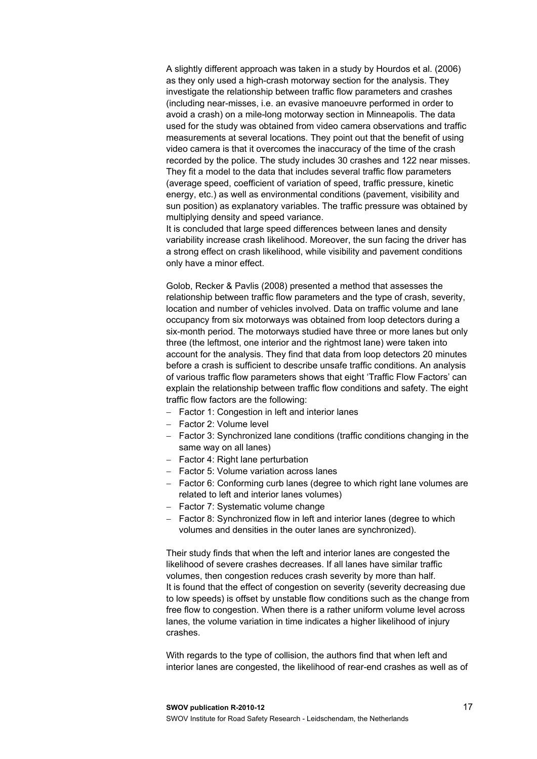A slightly different approach was taken in a study by Hourdos et al. (2006) as they only used a high-crash motorway section for the analysis. They investigate the relationship between traffic flow parameters and crashes (including near-misses, i.e. an evasive manoeuvre performed in order to avoid a crash) on a mile-long motorway section in Minneapolis. The data used for the study was obtained from video camera observations and traffic measurements at several locations. They point out that the benefit of using video camera is that it overcomes the inaccuracy of the time of the crash recorded by the police. The study includes 30 crashes and 122 near misses. They fit a model to the data that includes several traffic flow parameters (average speed, coefficient of variation of speed, traffic pressure, kinetic energy, etc.) as well as environmental conditions (pavement, visibility and sun position) as explanatory variables. The traffic pressure was obtained by multiplying density and speed variance.

It is concluded that large speed differences between lanes and density variability increase crash likelihood. Moreover, the sun facing the driver has a strong effect on crash likelihood, while visibility and pavement conditions only have a minor effect.

Golob, Recker & Pavlis (2008) presented a method that assesses the relationship between traffic flow parameters and the type of crash, severity, location and number of vehicles involved. Data on traffic volume and lane occupancy from six motorways was obtained from loop detectors during a six-month period. The motorways studied have three or more lanes but only three (the leftmost, one interior and the rightmost lane) were taken into account for the analysis. They find that data from loop detectors 20 minutes before a crash is sufficient to describe unsafe traffic conditions. An analysis of various traffic flow parameters shows that eight 'Traffic Flow Factors' can explain the relationship between traffic flow conditions and safety. The eight traffic flow factors are the following:

- Factor 1: Congestion in left and interior lanes
- Factor 2: Volume level
- Factor 3: Synchronized lane conditions (traffic conditions changing in the same way on all lanes)
- Factor 4: Right lane perturbation
- Factor 5: Volume variation across lanes
- Factor 6: Conforming curb lanes (degree to which right lane volumes are related to left and interior lanes volumes)
- Factor 7: Systematic volume change
- Factor 8: Synchronized flow in left and interior lanes (degree to which volumes and densities in the outer lanes are synchronized).

Their study finds that when the left and interior lanes are congested the likelihood of severe crashes decreases. If all lanes have similar traffic volumes, then congestion reduces crash severity by more than half. It is found that the effect of congestion on severity (severity decreasing due to low speeds) is offset by unstable flow conditions such as the change from free flow to congestion. When there is a rather uniform volume level across lanes, the volume variation in time indicates a higher likelihood of injury crashes.

With regards to the type of collision, the authors find that when left and interior lanes are congested, the likelihood of rear-end crashes as well as of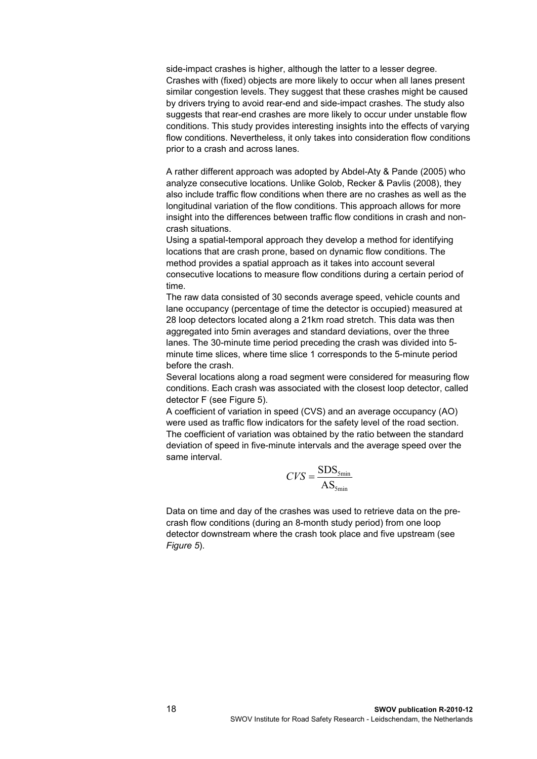side-impact crashes is higher, although the latter to a lesser degree. Crashes with (fixed) objects are more likely to occur when all lanes present similar congestion levels. They suggest that these crashes might be caused by drivers trying to avoid rear-end and side-impact crashes. The study also suggests that rear-end crashes are more likely to occur under unstable flow conditions. This study provides interesting insights into the effects of varying flow conditions. Nevertheless, it only takes into consideration flow conditions prior to a crash and across lanes.

A rather different approach was adopted by Abdel-Aty & Pande (2005) who analyze consecutive locations. Unlike Golob, Recker & Pavlis (2008), they also include traffic flow conditions when there are no crashes as well as the longitudinal variation of the flow conditions. This approach allows for more insight into the differences between traffic flow conditions in crash and noncrash situations.

Using a spatial-temporal approach they develop a method for identifying locations that are crash prone, based on dynamic flow conditions. The method provides a spatial approach as it takes into account several consecutive locations to measure flow conditions during a certain period of time.

The raw data consisted of 30 seconds average speed, vehicle counts and lane occupancy (percentage of time the detector is occupied) measured at 28 loop detectors located along a 21km road stretch. This data was then aggregated into 5min averages and standard deviations, over the three lanes. The 30-minute time period preceding the crash was divided into 5 minute time slices, where time slice 1 corresponds to the 5-minute period before the crash.

Several locations along a road segment were considered for measuring flow conditions. Each crash was associated with the closest loop detector, called detector F (see Figure 5).

A coefficient of variation in speed (CVS) and an average occupancy (AO) were used as traffic flow indicators for the safety level of the road section. The coefficient of variation was obtained by the ratio between the standard deviation of speed in five-minute intervals and the average speed over the same interval.

$$
CVS = \frac{\text{SDS}_{5\text{min}}}{\text{AS}_{5\text{min}}}
$$

Data on time and day of the crashes was used to retrieve data on the precrash flow conditions (during an 8-month study period) from one loop detector downstream where the crash took place and five upstream (see *[Figure 5](#page-20-0)*).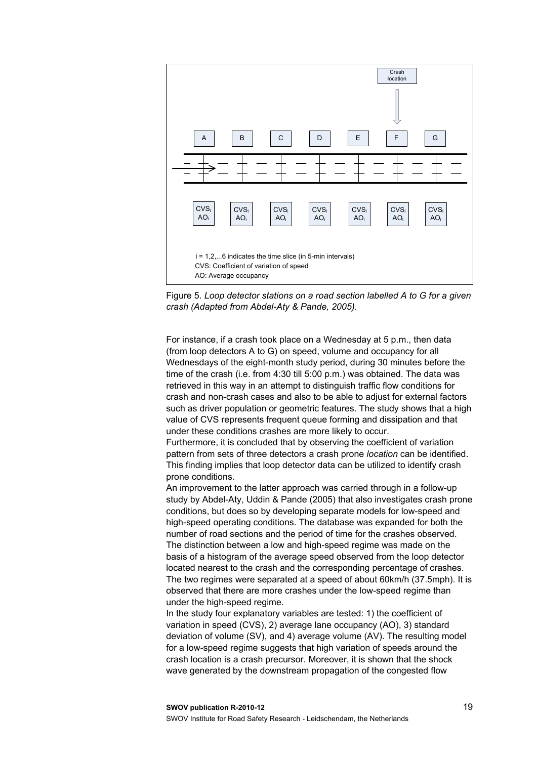

<span id="page-20-0"></span>Figure 5. *Loop detector stations on a road section labelled A to G for a given crash (Adapted from Abdel-Aty & Pande, 2005).*

For instance, if a crash took place on a Wednesday at 5 p.m., then data (from loop detectors A to G) on speed, volume and occupancy for all Wednesdays of the eight-month study period, during 30 minutes before the time of the crash (i.e. from 4:30 till 5:00 p.m.) was obtained. The data was retrieved in this way in an attempt to distinguish traffic flow conditions for crash and non-crash cases and also to be able to adjust for external factors such as driver population or geometric features. The study shows that a high value of CVS represents frequent queue forming and dissipation and that under these conditions crashes are more likely to occur.

Furthermore, it is concluded that by observing the coefficient of variation pattern from sets of three detectors a crash prone *location* can be identified. This finding implies that loop detector data can be utilized to identify crash prone conditions.

An improvement to the latter approach was carried through in a follow-up study by Abdel-Aty, Uddin & Pande (2005) that also investigates crash prone conditions, but does so by developing separate models for low-speed and high-speed operating conditions. The database was expanded for both the number of road sections and the period of time for the crashes observed. The distinction between a low and high-speed regime was made on the basis of a histogram of the average speed observed from the loop detector located nearest to the crash and the corresponding percentage of crashes. The two regimes were separated at a speed of about 60km/h (37.5mph). It is observed that there are more crashes under the low-speed regime than under the high-speed regime.

In the study four explanatory variables are tested: 1) the coefficient of variation in speed (CVS), 2) average lane occupancy (AO), 3) standard deviation of volume (SV), and 4) average volume (AV). The resulting model for a low-speed regime suggests that high variation of speeds around the crash location is a crash precursor. Moreover, it is shown that the shock wave generated by the downstream propagation of the congested flow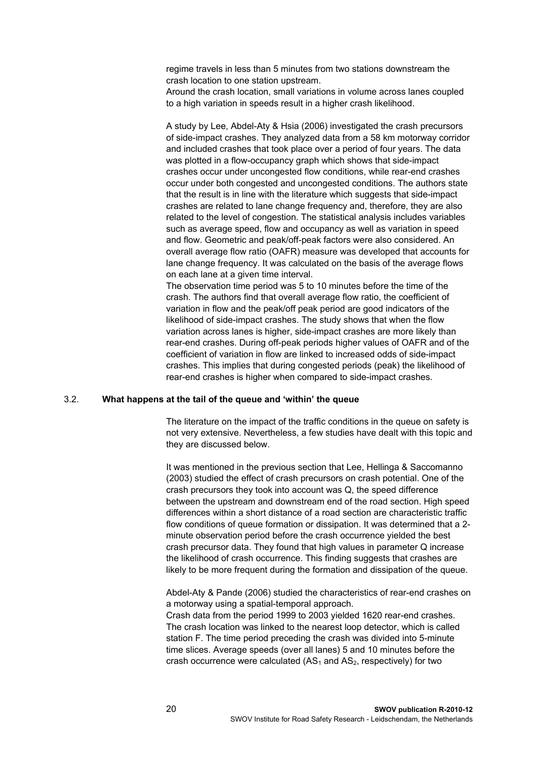regime travels in less than 5 minutes from two stations downstream the crash location to one station upstream.

Around the crash location, small variations in volume across lanes coupled to a high variation in speeds result in a higher crash likelihood.

A study by Lee, Abdel-Aty & Hsia (2006) investigated the crash precursors of side-impact crashes. They analyzed data from a 58 km motorway corridor and included crashes that took place over a period of four years. The data was plotted in a flow-occupancy graph which shows that side-impact crashes occur under uncongested flow conditions, while rear-end crashes occur under both congested and uncongested conditions. The authors state that the result is in line with the literature which suggests that side-impact crashes are related to lane change frequency and, therefore, they are also related to the level of congestion. The statistical analysis includes variables such as average speed, flow and occupancy as well as variation in speed and flow. Geometric and peak/off-peak factors were also considered. An overall average flow ratio (OAFR) measure was developed that accounts for lane change frequency. It was calculated on the basis of the average flows on each lane at a given time interval.

The observation time period was 5 to 10 minutes before the time of the crash. The authors find that overall average flow ratio, the coefficient of variation in flow and the peak/off peak period are good indicators of the likelihood of side-impact crashes. The study shows that when the flow variation across lanes is higher, side-impact crashes are more likely than rear-end crashes. During off-peak periods higher values of OAFR and of the coefficient of variation in flow are linked to increased odds of side-impact crashes. This implies that during congested periods (peak) the likelihood of rear-end crashes is higher when compared to side-impact crashes.

#### <span id="page-21-0"></span>3.2. **What happens at the tail of the queue and 'within' the queue**

The literature on the impact of the traffic conditions in the queue on safety is not very extensive. Nevertheless, a few studies have dealt with this topic and they are discussed below.

It was mentioned in the previous section that Lee, Hellinga & Saccomanno (2003) studied the effect of crash precursors on crash potential. One of the crash precursors they took into account was Q, the speed difference between the upstream and downstream end of the road section. High speed differences within a short distance of a road section are characteristic traffic flow conditions of queue formation or dissipation. It was determined that a 2 minute observation period before the crash occurrence yielded the best crash precursor data. They found that high values in parameter Q increase the likelihood of crash occurrence. This finding suggests that crashes are likely to be more frequent during the formation and dissipation of the queue.

Abdel-Aty & Pande (2006) studied the characteristics of rear-end crashes on a motorway using a spatial-temporal approach.

Crash data from the period 1999 to 2003 yielded 1620 rear-end crashes. The crash location was linked to the nearest loop detector, which is called station F. The time period preceding the crash was divided into 5-minute time slices. Average speeds (over all lanes) 5 and 10 minutes before the crash occurrence were calculated  $(AS_1$  and  $AS_2$ , respectively) for two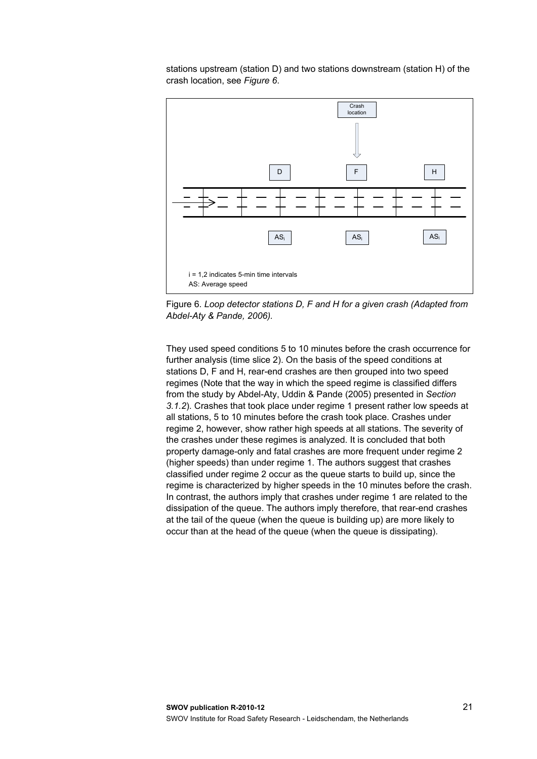stations upstream (station D) and two stations downstream (station H) of the crash location, see *[Figure 6](#page-22-0)*.



<span id="page-22-0"></span>Figure 6. *Loop detector stations D, F and H for a given crash (Adapted from Abdel-Aty & Pande, 2006).*

They used speed conditions 5 to 10 minutes before the crash occurrence for further analysis (time slice 2). On the basis of the speed conditions at stations D, F and H, rear-end crashes are then grouped into two speed regimes (Note that the way in which the speed regime is classified differs from the study by Abdel-Aty, Uddin & Pande (2005) presented in *Section 3.1.2*). Crashes that took place under regime 1 present rather low speeds at all stations, 5 to 10 minutes before the crash took place. Crashes under regime 2, however, show rather high speeds at all stations. The severity of the crashes under these regimes is analyzed. It is concluded that both property damage-only and fatal crashes are more frequent under regime 2 (higher speeds) than under regime 1. The authors suggest that crashes classified under regime 2 occur as the queue starts to build up, since the regime is characterized by higher speeds in the 10 minutes before the crash. In contrast, the authors imply that crashes under regime 1 are related to the dissipation of the queue. The authors imply therefore, that rear-end crashes at the tail of the queue (when the queue is building up) are more likely to occur than at the head of the queue (when the queue is dissipating).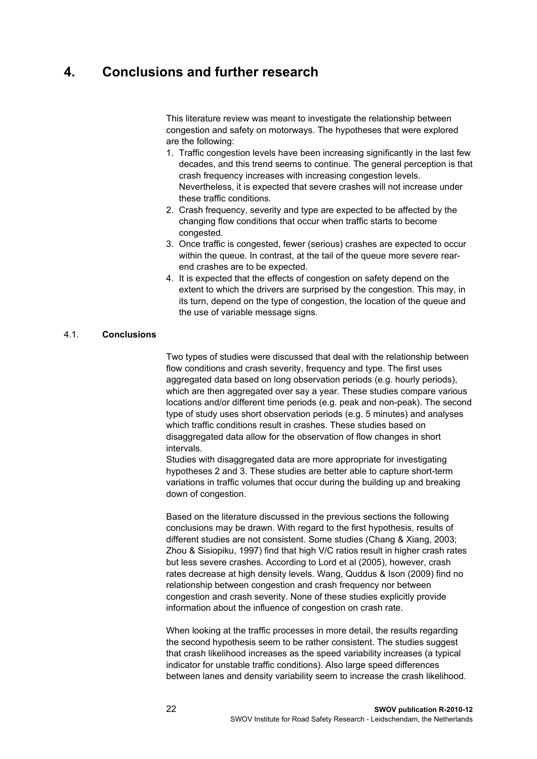## <span id="page-23-0"></span>**4. Conclusions and further research**

This literature review was meant to investigate the relationship between congestion and safety on motorways. The hypotheses that were explored are the following:

- 1. Traffic congestion levels have been increasing significantly in the last few decades, and this trend seems to continue. The general perception is that crash frequency increases with increasing congestion levels. Nevertheless, it is expected that severe crashes will not increase under these traffic conditions.
- 2. Crash frequency, severity and type are expected to be affected by the changing flow conditions that occur when traffic starts to become congested.
- 3. Once traffic is congested, fewer (serious) crashes are expected to occur within the queue. In contrast, at the tail of the queue more severe rearend crashes are to be expected.
- 4. It is expected that the effects of congestion on safety depend on the extent to which the drivers are surprised by the congestion. This may, in its turn, depend on the type of congestion, the location of the queue and the use of variable message signs.

#### <span id="page-23-1"></span>4.1. **Conclusions**

Two types of studies were discussed that deal with the relationship between flow conditions and crash severity, frequency and type. The first uses aggregated data based on long observation periods (e.g. hourly periods), which are then aggregated over say a year. These studies compare various locations and/or different time periods (e.g. peak and non-peak). The second type of study uses short observation periods (e.g. 5 minutes) and analyses which traffic conditions result in crashes. These studies based on disaggregated data allow for the observation of flow changes in short intervals.

Studies with disaggregated data are more appropriate for investigating hypotheses 2 and 3. These studies are better able to capture short-term variations in traffic volumes that occur during the building up and breaking down of congestion.

Based on the literature discussed in the previous sections the following conclusions may be drawn. With regard to the first hypothesis, results of different studies are not consistent. Some studies (Chang & Xiang, 2003; Zhou & Sisiopiku, 1997) find that high V/C ratios result in higher crash rates but less severe crashes. According to Lord et al (2005), however, crash rates decrease at high density levels. Wang, Quddus & Ison (2009) find no relationship between congestion and crash frequency nor between congestion and crash severity. None of these studies explicitly provide information about the influence of congestion on crash rate.

When looking at the traffic processes in more detail, the results regarding the second hypothesis seem to be rather consistent. The studies suggest that crash likelihood increases as the speed variability increases (a typical indicator for unstable traffic conditions). Also large speed differences between lanes and density variability seem to increase the crash likelihood.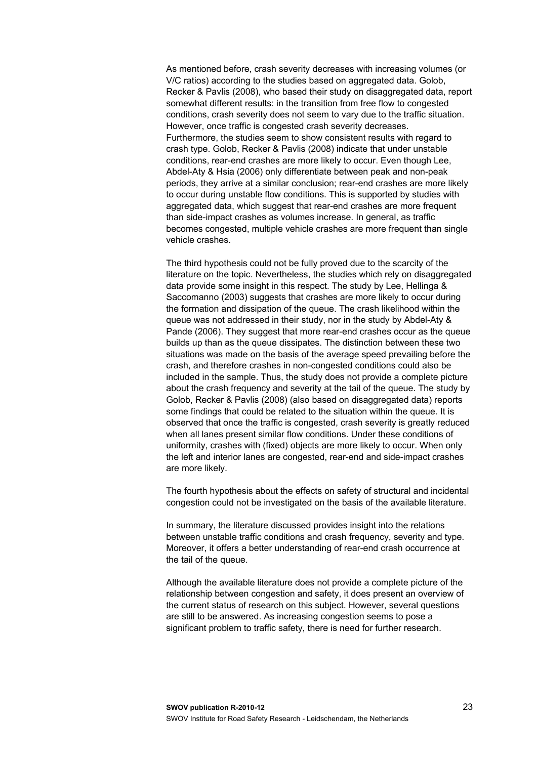As mentioned before, crash severity decreases with increasing volumes (or V/C ratios) according to the studies based on aggregated data. Golob, Recker & Pavlis (2008), who based their study on disaggregated data, report somewhat different results: in the transition from free flow to congested conditions, crash severity does not seem to vary due to the traffic situation. However, once traffic is congested crash severity decreases. Furthermore, the studies seem to show consistent results with regard to crash type. Golob, Recker & Pavlis (2008) indicate that under unstable conditions, rear-end crashes are more likely to occur. Even though Lee, Abdel-Aty & Hsia (2006) only differentiate between peak and non-peak periods, they arrive at a similar conclusion; rear-end crashes are more likely to occur during unstable flow conditions. This is supported by studies with aggregated data, which suggest that rear-end crashes are more frequent than side-impact crashes as volumes increase. In general, as traffic becomes congested, multiple vehicle crashes are more frequent than single vehicle crashes.

The third hypothesis could not be fully proved due to the scarcity of the literature on the topic. Nevertheless, the studies which rely on disaggregated data provide some insight in this respect. The study by Lee, Hellinga & Saccomanno (2003) suggests that crashes are more likely to occur during the formation and dissipation of the queue. The crash likelihood within the queue was not addressed in their study, nor in the study by Abdel-Aty & Pande (2006). They suggest that more rear-end crashes occur as the queue builds up than as the queue dissipates. The distinction between these two situations was made on the basis of the average speed prevailing before the crash, and therefore crashes in non-congested conditions could also be included in the sample. Thus, the study does not provide a complete picture about the crash frequency and severity at the tail of the queue. The study by Golob, Recker & Pavlis (2008) (also based on disaggregated data) reports some findings that could be related to the situation within the queue. It is observed that once the traffic is congested, crash severity is greatly reduced when all lanes present similar flow conditions. Under these conditions of uniformity, crashes with (fixed) objects are more likely to occur. When only the left and interior lanes are congested, rear-end and side-impact crashes are more likely.

The fourth hypothesis about the effects on safety of structural and incidental congestion could not be investigated on the basis of the available literature.

In summary, the literature discussed provides insight into the relations between unstable traffic conditions and crash frequency, severity and type. Moreover, it offers a better understanding of rear-end crash occurrence at the tail of the queue.

Although the available literature does not provide a complete picture of the relationship between congestion and safety, it does present an overview of the current status of research on this subject. However, several questions are still to be answered. As increasing congestion seems to pose a significant problem to traffic safety, there is need for further research.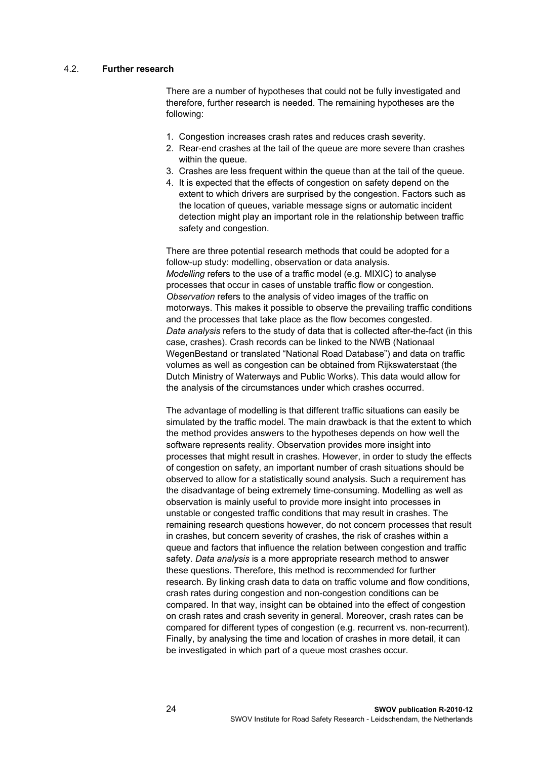#### <span id="page-25-0"></span>4.2. **Further research**

There are a number of hypotheses that could not be fully investigated and therefore, further research is needed. The remaining hypotheses are the following:

- 1. Congestion increases crash rates and reduces crash severity.
- 2. Rear-end crashes at the tail of the queue are more severe than crashes within the queue.
- 3. Crashes are less frequent within the queue than at the tail of the queue.
- 4. It is expected that the effects of congestion on safety depend on the extent to which drivers are surprised by the congestion. Factors such as the location of queues, variable message signs or automatic incident detection might play an important role in the relationship between traffic safety and congestion.

There are three potential research methods that could be adopted for a follow-up study: modelling, observation or data analysis. *Modelling* refers to the use of a traffic model (e.g. MIXIC) to analyse processes that occur in cases of unstable traffic flow or congestion. *Observation* refers to the analysis of video images of the traffic on motorways. This makes it possible to observe the prevailing traffic conditions and the processes that take place as the flow becomes congested. *Data analysis* refers to the study of data that is collected after-the-fact (in this case, crashes). Crash records can be linked to the NWB (Nationaal WegenBestand or translated "National Road Database") and data on traffic volumes as well as congestion can be obtained from Rijkswaterstaat (the Dutch Ministry of Waterways and Public Works). This data would allow for the analysis of the circumstances under which crashes occurred.

The advantage of modelling is that different traffic situations can easily be simulated by the traffic model. The main drawback is that the extent to which the method provides answers to the hypotheses depends on how well the software represents reality. Observation provides more insight into processes that might result in crashes. However, in order to study the effects of congestion on safety, an important number of crash situations should be observed to allow for a statistically sound analysis. Such a requirement has the disadvantage of being extremely time-consuming. Modelling as well as observation is mainly useful to provide more insight into processes in unstable or congested traffic conditions that may result in crashes. The remaining research questions however, do not concern processes that result in crashes, but concern severity of crashes, the risk of crashes within a queue and factors that influence the relation between congestion and traffic safety. *Data analysis* is a more appropriate research method to answer these questions. Therefore, this method is recommended for further research. By linking crash data to data on traffic volume and flow conditions, crash rates during congestion and non-congestion conditions can be compared. In that way, insight can be obtained into the effect of congestion on crash rates and crash severity in general. Moreover, crash rates can be compared for different types of congestion (e.g. recurrent vs. non-recurrent). Finally, by analysing the time and location of crashes in more detail, it can be investigated in which part of a queue most crashes occur.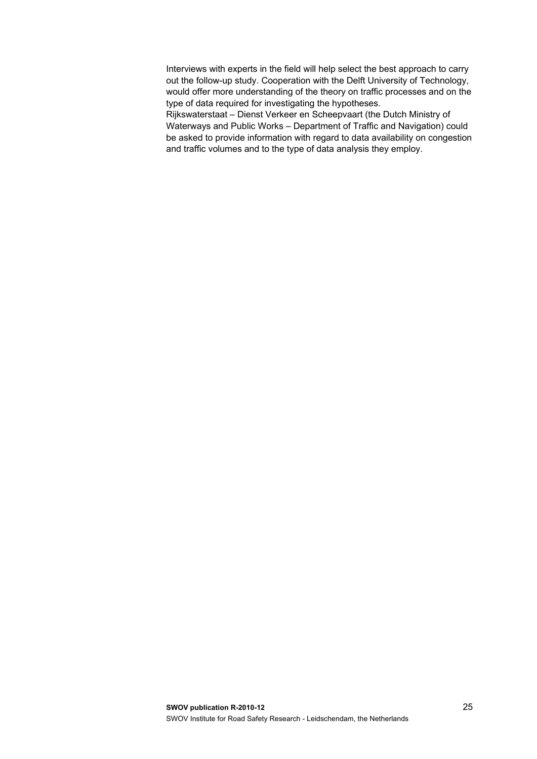Interviews with experts in the field will help select the best approach to carry out the follow-up study. Cooperation with the Delft University of Technology, would offer more understanding of the theory on traffic processes and on the type of data required for investigating the hypotheses.

Rijkswaterstaat – Dienst Verkeer en Scheepvaart (the Dutch Ministry of Waterways and Public Works – Department of Traffic and Navigation) could be asked to provide information with regard to data availability on congestion and traffic volumes and to the type of data analysis they employ.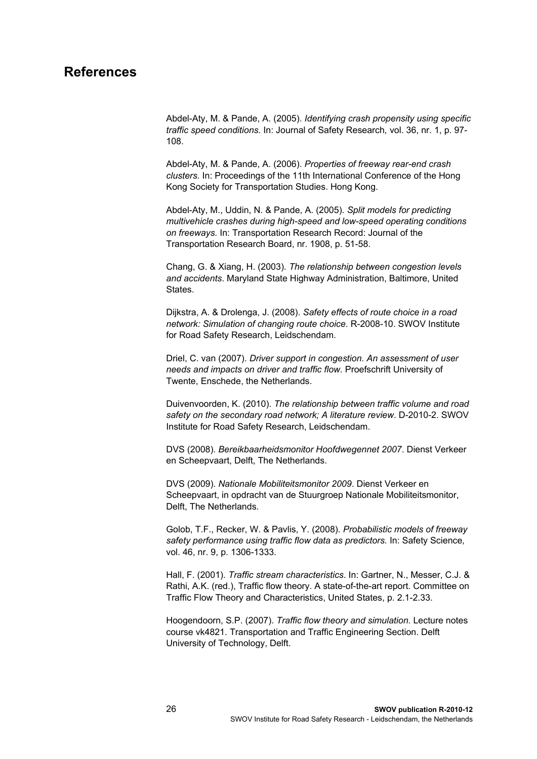### <span id="page-27-0"></span>**References**

Abdel-Aty, M. & Pande, A. (2005). *Identifying crash propensity using specific traffic speed conditions.* In: Journal of Safety Research*,* vol. 36, nr. 1, p. 97- 108.

Abdel-Aty, M. & Pande, A. (2006). *Properties of freeway rear-end crash clusters.* In: Proceedings of the 11th International Conference of the Hong Kong Society for Transportation Studies. Hong Kong.

Abdel-Aty, M., Uddin, N. & Pande, A. (2005). *Split models for predicting multivehicle crashes during high-speed and low-speed operating conditions on freeways.* In: Transportation Research Record: Journal of the Transportation Research Board, nr. 1908, p. 51-58.

Chang, G. & Xiang, H. (2003). *The relationship between congestion levels and accidents*. Maryland State Highway Administration, Baltimore, United States.

Dijkstra, A. & Drolenga, J. (2008). *Safety effects of route choice in a road network: Simulation of changing route choice*. R-2008-10. SWOV Institute for Road Safety Research, Leidschendam.

Driel, C. van (2007). *Driver support in congestion. An assessment of user needs and impacts on driver and traffic flow.* Proefschrift University of Twente, Enschede, the Netherlands.

Duivenvoorden, K. (2010). *The relationship between traffic volume and road safety on the secondary road network; A literature review*. D-2010-2. SWOV Institute for Road Safety Research, Leidschendam.

DVS (2008). *Bereikbaarheidsmonitor Hoofdwegennet 2007*. Dienst Verkeer en Scheepvaart, Delft, The Netherlands.

DVS (2009). *Nationale Mobiliteitsmonitor 2009*. Dienst Verkeer en Scheepvaart, in opdracht van de Stuurgroep Nationale Mobiliteitsmonitor, Delft, The Netherlands.

Golob, T.F., Recker, W. & Pavlis, Y. (2008). *Probabilistic models of freeway safety performance using traffic flow data as predictors.* In: Safety Science*,* vol. 46, nr. 9, p. 1306-1333.

Hall, F. (2001). *Traffic stream characteristics*. In: Gartner, N., Messer, C.J. & Rathi, A.K. (red.), Traffic flow theory. A state-of-the-art report. Committee on Traffic Flow Theory and Characteristics, United States, p. 2.1-2.33.

Hoogendoorn, S.P. (2007). *Traffic flow theory and simulation.* Lecture notes course vk4821. Transportation and Traffic Engineering Section. Delft University of Technology, Delft.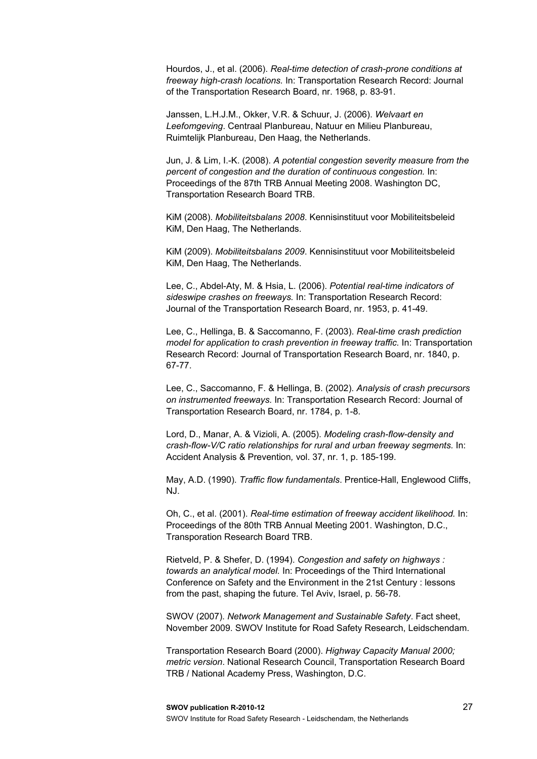Hourdos, J., et al. (2006). *Real-time detection of crash-prone conditions at freeway high-crash locations.* In: Transportation Research Record: Journal of the Transportation Research Board, nr. 1968, p. 83-91.

Janssen, L.H.J.M., Okker, V.R. & Schuur, J. (2006). *Welvaart en Leefomgeving*. Centraal Planbureau, Natuur en Milieu Planbureau, Ruimtelijk Planbureau, Den Haag, the Netherlands.

Jun, J. & Lim, I.-K. (2008). *A potential congestion severity measure from the percent of congestion and the duration of continuous congestion.* In: Proceedings of the 87th TRB Annual Meeting 2008. Washington DC, Transportation Research Board TRB.

KiM (2008). *Mobiliteitsbalans 2008*. Kennisinstituut voor Mobiliteitsbeleid KiM, Den Haag, The Netherlands.

KiM (2009). *Mobiliteitsbalans 2009*. Kennisinstituut voor Mobiliteitsbeleid KiM, Den Haag, The Netherlands.

Lee, C., Abdel-Aty, M. & Hsia, L. (2006). *Potential real-time indicators of sideswipe crashes on freeways.* In: Transportation Research Record: Journal of the Transportation Research Board, nr. 1953, p. 41-49.

Lee, C., Hellinga, B. & Saccomanno, F. (2003). *Real-time crash prediction model for application to crash prevention in freeway traffic.* In: Transportation Research Record: Journal of Transportation Research Board, nr. 1840, p. 67-77.

Lee, C., Saccomanno, F. & Hellinga, B. (2002). *Analysis of crash precursors on instrumented freeways.* In: Transportation Research Record: Journal of Transportation Research Board, nr. 1784, p. 1-8.

Lord, D., Manar, A. & Vizioli, A. (2005). *Modeling crash-flow-density and crash-flow-V/C ratio relationships for rural and urban freeway segments.* In: Accident Analysis & Prevention*,* vol. 37, nr. 1, p. 185-199.

May, A.D. (1990). *Traffic flow fundamentals*. Prentice-Hall, Englewood Cliffs, NJ.

Oh, C., et al. (2001). *Real-time estimation of freeway accident likelihood.* In: Proceedings of the 80th TRB Annual Meeting 2001. Washington, D.C., Transporation Research Board TRB.

Rietveld, P. & Shefer, D. (1994). *Congestion and safety on highways : towards an analytical model.* In: Proceedings of the Third International Conference on Safety and the Environment in the 21st Century : lessons from the past, shaping the future. Tel Aviv, Israel, p. 56-78.

SWOV (2007). *Network Management and Sustainable Safety*. Fact sheet, November 2009. SWOV Institute for Road Safety Research, Leidschendam.

Transportation Research Board (2000). *Highway Capacity Manual 2000; metric version*. National Research Council, Transportation Research Board TRB / National Academy Press, Washington, D.C.